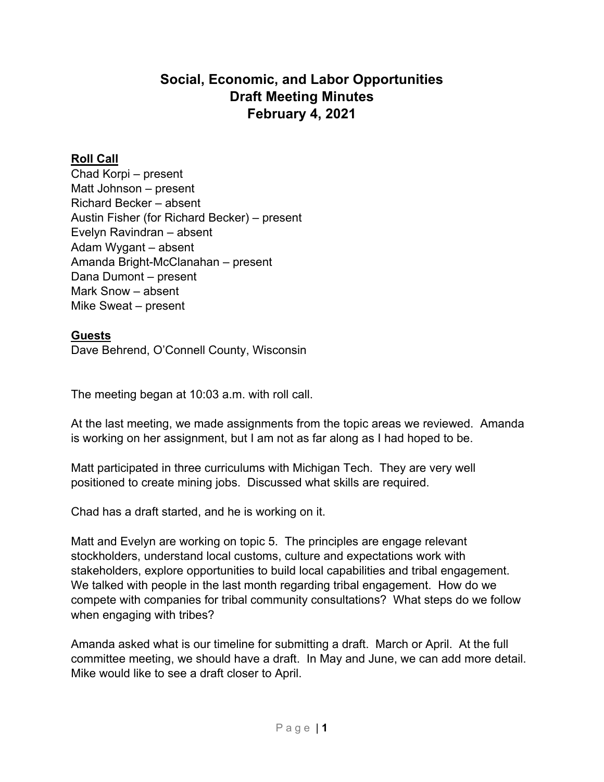# **Social, Economic, and Labor Opportunities Draft Meeting Minutes February 4, 2021**

## **Roll Call**

Chad Korpi – present Matt Johnson – present Richard Becker – absent Austin Fisher (for Richard Becker) – present Evelyn Ravindran – absent Adam Wygant – absent Amanda Bright-McClanahan – present Dana Dumont – present Mark Snow – absent Mike Sweat – present

### **Guests**

Dave Behrend, O'Connell County, Wisconsin

The meeting began at 10:03 a.m. with roll call.

At the last meeting, we made assignments from the topic areas we reviewed. Amanda is working on her assignment, but I am not as far along as I had hoped to be.

Matt participated in three curriculums with Michigan Tech. They are very well positioned to create mining jobs. Discussed what skills are required.

Chad has a draft started, and he is working on it.

Matt and Evelyn are working on topic 5. The principles are engage relevant stockholders, understand local customs, culture and expectations work with stakeholders, explore opportunities to build local capabilities and tribal engagement. We talked with people in the last month regarding tribal engagement. How do we compete with companies for tribal community consultations? What steps do we follow when engaging with tribes?

Amanda asked what is our timeline for submitting a draft. March or April. At the full committee meeting, we should have a draft. In May and June, we can add more detail. Mike would like to see a draft closer to April.